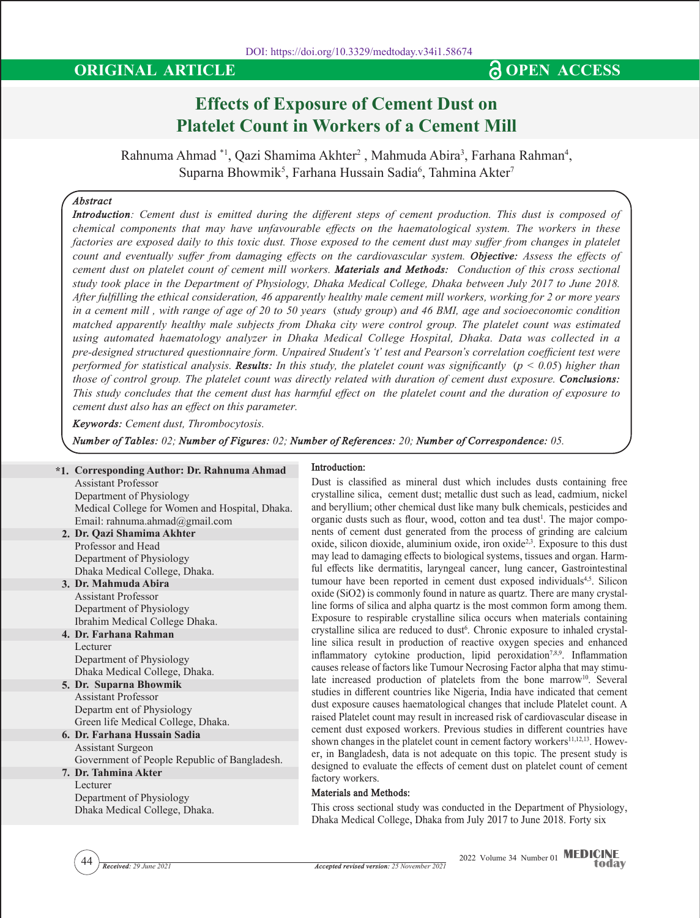# **ORIGINAL ARTICLE CONSERVANT AND SOME ACCESS**

# **Effects of Exposure of Cement Dust on Platelet Count in Workers of a Cement Mill**

Rahnuma Ahmad \*1, Qazi Shamima Akhter<sup>2</sup>, Mahmuda Abira<sup>3</sup>, Farhana Rahman<sup>4</sup>, Suparna Bhowmik $^5$ , Farhana Hussain Sadia $^6$ , Tahmina Akter $^7$ 

# *Abstract*

*Introduction: Cement dust is emitted during the different steps of cement production. This dust is composed of chemical components that may have unfavourable effects on the haematological system. The workers in these*  factories are exposed daily to this toxic dust. Those exposed to the cement dust may suffer from changes in platelet *count and eventually suffer from damaging effects on the cardiovascular system. Objective: Assess the effects of cement dust on platelet count of cement mill workers. Materials and Methods: Conduction of this cross sectional study took place in the Department of Physiology, Dhaka Medical College, Dhaka between July 2017 to June 2018. After fulfilling the ethical consideration, 46 apparently healthy male cement mill workers, working for 2 or more years in a cement mill , with range of age of 20 to 50 years (study group) and 46 BMI, age and socioeconomic condition matched apparently healthy male subjects from Dhaka city were control group. The platelet count was estimated using automated haematology analyzer in Dhaka Medical College Hospital, Dhaka. Data was collected in a pre-designed structured questionnaire form. Unpaired Student's 't' test and Pearson's correlation coefficient test were performed for statistical analysis. Results: In this study, the platelet count was significantly (* $p < 0.05$ *) higher than those of control group. The platelet count was directly related with duration of cement dust exposure. Conclusions: This study concludes that the cement dust has harmful effect on the platelet count and the duration of exposure to cement dust also has an effect on this parameter.*

*Keywords: Cement dust, Thrombocytosis.*

*Number of Tables: 02; Number of Figures: 02; Number of References: 20; Number of Correspondence: 05.*

# **\*1. Corresponding Author: Dr. Rahnuma Ahmad**

**2. Dr. Qazi Shamima Akhter** Assistant Professor Department of Physiology Medical College for Women and Hospital, Dhaka. Email: rahnuma.ahmad@gmail.com

Professor and Head Department of Physiology Dhaka Medical College, Dhaka.

**3. Dr. Mahmuda Abira** Assistant Professor Department of Physiology Ibrahim Medical College Dhaka.

- **4. Dr. Farhana Rahman** Lecturer Department of Physiology Dhaka Medical College, Dhaka.
- **5. Dr. Suparna Bhowmik** Assistant Professor Departm ent of Physiology Green life Medical College, Dhaka.
- **6. Dr. Farhana Hussain Sadia** Assistant Surgeon Government of People Republic of Bangladesh.

**7. Dr. Tahmina Akter** Lecturer Department of Physiology Dhaka Medical College, Dhaka.

#### **Introduction:**

Dust is classified as mineral dust which includes dusts containing free crystalline silica, cement dust; metallic dust such as lead, cadmium, nickel and beryllium; other chemical dust like many bulk chemicals, pesticides and organic dusts such as flour, wood, cotton and tea dust<sup>1</sup>. The major components of cement dust generated from the process of grinding are calcium oxide, silicon dioxide, aluminium oxide, iron oxide<sup>2,3</sup>. Exposure to this dust may lead to damaging effects to biological systems, tissues and organ. Harmful effects like dermatitis, laryngeal cancer, lung cancer, Gastrointestinal tumour have been reported in cement dust exposed individuals<sup>4,5</sup>. Silicon oxide (SiO2) is commonly found in nature as quartz. There are many crystalline forms of silica and alpha quartz is the most common form among them. Exposure to respirable crystalline silica occurs when materials containing crystalline silica are reduced to dust<sup>6</sup>. Chronic exposure to inhaled crystalline silica result in production of reactive oxygen species and enhanced inflammatory cytokine production, lipid peroxidation<sup>7,8,9</sup>. Inflammation causes release of factors like Tumour Necrosing Factor alpha that may stimulate increased production of platelets from the bone marrow<sup>10</sup>. Several studies in different countries like Nigeria, India have indicated that cement dust exposure causes haematological changes that include Platelet count. A raised Platelet count may result in increased risk of cardiovascular disease in cement dust exposed workers. Previous studies in different countries have shown changes in the platelet count in cement factory workers<sup>11,12,13</sup>. However, in Bangladesh, data is not adequate on this topic. The present study is designed to evaluate the effects of cement dust on platelet count of cement factory workers.

### **Materials and Methods:**

This cross sectional study was conducted in the Department of Physiology, Dhaka Medical College, Dhaka from July 2017 to June 2018. Forty six

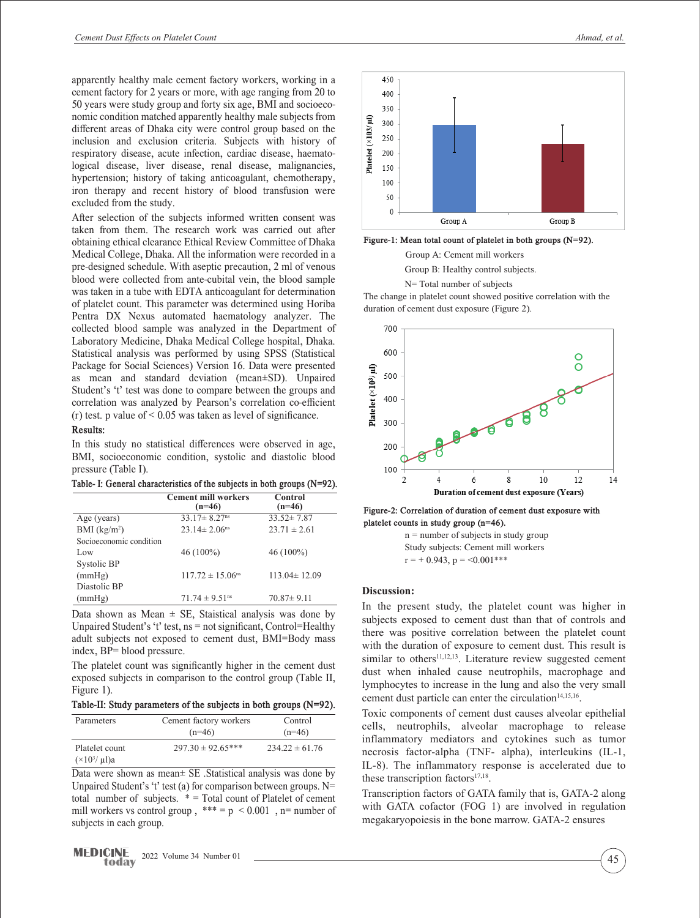apparently healthy male cement factory workers, working in a cement factory for 2 years or more, with age ranging from 20 to 50 years were study group and forty six age, BMI and socioeconomic condition matched apparently healthy male subjects from different areas of Dhaka city were control group based on the inclusion and exclusion criteria. Subjects with history of respiratory disease, acute infection, cardiac disease, haematological disease, liver disease, renal disease, malignancies, hypertension; history of taking anticoagulant, chemotherapy, iron therapy and recent history of blood transfusion were excluded from the study.

After selection of the subjects informed written consent was taken from them. The research work was carried out after obtaining ethical clearance Ethical Review Committee of Dhaka Medical College, Dhaka. All the information were recorded in a pre-designed schedule. With aseptic precaution, 2 ml of venous blood were collected from ante-cubital vein, the blood sample was taken in a tube with EDTA anticoagulant for determination of platelet count. This parameter was determined using Horiba Pentra DX Nexus automated haematology analyzer. The collected blood sample was analyzed in the Department of Laboratory Medicine, Dhaka Medical College hospital, Dhaka. Statistical analysis was performed by using SPSS (Statistical Package for Social Sciences) Version 16. Data were presented as mean and standard deviation (mean±SD). Unpaired Student's 't' test was done to compare between the groups and correlation was analyzed by Pearson's correlation co-efficient (r) test. p value of  $\leq 0.05$  was taken as level of significance.

#### **Results:**

In this study no statistical differences were observed in age, BMI, socioeconomic condition, systolic and diastolic blood pressure (Table I).

**Table- I: General characteristics of the subjects in both groups (N=92).**

|                         | <b>Cement mill workers</b><br>$(n=46)$ | Control<br>$(n=46)$ |
|-------------------------|----------------------------------------|---------------------|
| Age (years)             | $33.17 \pm 8.27$ <sup>ns</sup>         | $33.52 \pm 7.87$    |
| BMI $(kg/m2)$           | $23.14 \pm 2.06$ <sup>ns</sup>         | $23.71 \pm 2.61$    |
| Socioeconomic condition |                                        |                     |
| Low                     | $46(100\%)$                            | $46(100\%)$         |
| Systolic BP             |                                        |                     |
| (mmHg)                  | $117.72 \pm 15.06^{\text{ns}}$         | $113.04 \pm 12.09$  |
| Diastolic BP            |                                        |                     |
| (mmHg)                  | $71.74 \pm 9.51$ <sup>ns</sup>         | $70.87 \pm 9.11$    |

Data shown as Mean  $\pm$  SE, Staistical analysis was done by Unpaired Student's 't' test, ns = not significant, Control=Healthy adult subjects not exposed to cement dust, BMI=Body mass index, BP= blood pressure.

The platelet count was significantly higher in the cement dust exposed subjects in comparison to the control group (Table II, Figure 1).

**Table-II: Study parameters of the subjects in both groups (N=92).**

| Parameters                                  | Cement factory workers<br>$(n=46)$ | Control<br>$(n=46)$ |
|---------------------------------------------|------------------------------------|---------------------|
| Platelet count<br>$(\times 10^{3}/ \mu l)a$ | $297.30 \pm 92.65***$              | $234.22 \pm 61.76$  |

Data were shown as mean± SE .Statistical analysis was done by Unpaired Student's 't' test (a) for comparison between groups.  $N=$ total number of subjects.  $* = \text{Total count of Platelet of.}$ mill workers vs control group,  $*** = p < 0.001$ , n= number of subjects in each group.



**Figure-1: Mean total count of platelet in both groups (N=92).**

Group A: Cement mill workers

Group B: Healthy control subjects.

N= Total number of subjects

The change in platelet count showed positive correlation with the duration of cement dust exposure (Figure 2).



**Figure-2: Correlation of duration of cement dust exposure with platelet counts in study group (n=46).**

n = number of subjects in study group Study subjects: Cement mill workers  $r = +0.943$ ,  $p = \le 0.001$ \*\*\*

#### **Discussion:**

In the present study, the platelet count was higher in subjects exposed to cement dust than that of controls and there was positive correlation between the platelet count with the duration of exposure to cement dust. This result is similar to others<sup>11,12,13</sup>. Literature review suggested cement dust when inhaled cause neutrophils, macrophage and lymphocytes to increase in the lung and also the very small cement dust particle can enter the circulation<sup>14,15,16</sup>.

Toxic components of cement dust causes alveolar epithelial cells, neutrophils, alveolar macrophage to release inflammatory mediators and cytokines such as tumor necrosis factor-alpha (TNF- alpha), interleukins (IL-1, IL-8). The inflammatory response is accelerated due to these transcription factors $17,18$ .

Transcription factors of GATA family that is, GATA-2 along with GATA cofactor (FOG 1) are involved in regulation megakaryopoiesis in the bone marrow. GATA-2 ensures